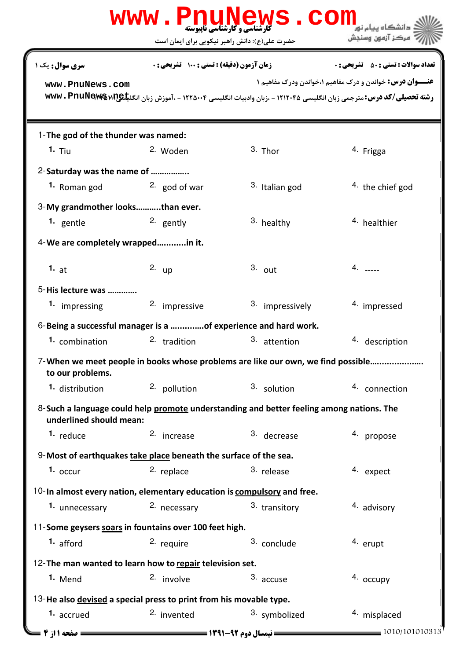|                                                                                                                     |                                                        | WWW.PnuNews.com                                                                  |                                                                                                                                                                                                       |  |  |
|---------------------------------------------------------------------------------------------------------------------|--------------------------------------------------------|----------------------------------------------------------------------------------|-------------------------------------------------------------------------------------------------------------------------------------------------------------------------------------------------------|--|--|
|                                                                                                                     | حضرت علی(ع): دانش راهبر نیکویی برای ایمان است          |                                                                                  | مركز آزمون وسنجش                                                                                                                                                                                      |  |  |
| <b>سری سوال :</b> یک ۱                                                                                              | <b>زمان آزمون (دقیقه) : تستی : 100 تشریحی : 0</b>      |                                                                                  | <b>تعداد سوالات : تستي : 50 ٪ تشريحي : 0</b>                                                                                                                                                          |  |  |
| www.PnuNews.com                                                                                                     |                                                        |                                                                                  | <b>عنـــوان درس:</b> خواندن و درک مفاهیم ۱،خواندن ودرک مفاهیم ۱<br>رشته تحصیلی/کد درس: مترجمی زبان انگلیسی ۱۲۱۲۰۴۵ - ،زبان وادبیات انگلیسی ۱۲۲۵۰۰۴ - ،آموزش زبان انگل <del>یا @wwv . PnuNews</del> +R |  |  |
| 1-The god of the thunder was named:                                                                                 |                                                        |                                                                                  |                                                                                                                                                                                                       |  |  |
| 1. <sub>Tiu</sub>                                                                                                   | 2. Woden                                               | $3.$ Thor                                                                        | <sup>4.</sup> Frigga                                                                                                                                                                                  |  |  |
| 2-Saturday was the name of                                                                                          |                                                        |                                                                                  |                                                                                                                                                                                                       |  |  |
| 1. Roman god                                                                                                        | $2.$ god of war                                        | 3. Italian god                                                                   | <sup>4</sup> the chief god                                                                                                                                                                            |  |  |
| 3-My grandmother looksthan ever.                                                                                    |                                                        |                                                                                  |                                                                                                                                                                                                       |  |  |
| <sup>1.</sup> gentle                                                                                                | 2. gently                                              | 3. healthy                                                                       | <sup>4</sup> healthier                                                                                                                                                                                |  |  |
| 4-We are completely wrappedin it.                                                                                   |                                                        |                                                                                  |                                                                                                                                                                                                       |  |  |
| 1. $at$                                                                                                             | 2. $up$                                                | $3.$ out                                                                         | $4. \t---$                                                                                                                                                                                            |  |  |
| 5-His lecture was                                                                                                   |                                                        |                                                                                  |                                                                                                                                                                                                       |  |  |
| 1. impressing                                                                                                       | 2. impressive                                          | 3. impressively                                                                  | 4. impressed                                                                                                                                                                                          |  |  |
| 6-Being a successful manager is a of experience and hard work.                                                      |                                                        |                                                                                  |                                                                                                                                                                                                       |  |  |
| 1. combination                                                                                                      | 2. tradition                                           | 3. attention                                                                     | 4. description                                                                                                                                                                                        |  |  |
| to our problems.                                                                                                    |                                                        | 7-When we meet people in books whose problems are like our own, we find possible |                                                                                                                                                                                                       |  |  |
| 1. distribution                                                                                                     | 2. pollution                                           | 3. solution                                                                      | 4. connection                                                                                                                                                                                         |  |  |
| 8-Such a language could help promote understanding and better feeling among nations. The<br>underlined should mean: |                                                        |                                                                                  |                                                                                                                                                                                                       |  |  |
| <sup>1.</sup> reduce                                                                                                | 2. increase                                            | 3. decrease                                                                      | 4. propose                                                                                                                                                                                            |  |  |
| 9-Most of earthquakes take place beneath the surface of the sea.                                                    |                                                        |                                                                                  |                                                                                                                                                                                                       |  |  |
| $1.$ occur                                                                                                          | 2. replace                                             | 3. release                                                                       | 4. expect                                                                                                                                                                                             |  |  |
| $10$ -In almost every nation, elementary education is compulsory and free.                                          |                                                        |                                                                                  |                                                                                                                                                                                                       |  |  |
| 1. unnecessary                                                                                                      | 2. necessary                                           | 3. transitory                                                                    | 4. advisory                                                                                                                                                                                           |  |  |
|                                                                                                                     | 11-Some geysers soars in fountains over 100 feet high. |                                                                                  |                                                                                                                                                                                                       |  |  |
| 1. afford                                                                                                           | 2. require                                             | 3. conclude                                                                      | 4. erupt                                                                                                                                                                                              |  |  |
| 12-The man wanted to learn how to repair television set.                                                            |                                                        |                                                                                  |                                                                                                                                                                                                       |  |  |
| 1. Mend                                                                                                             | 2. involve                                             | 3. accuse                                                                        | 4. occupy                                                                                                                                                                                             |  |  |
| 13-He also devised a special press to print from his movable type.                                                  |                                                        |                                                                                  |                                                                                                                                                                                                       |  |  |
| 1. accrued                                                                                                          | <sup>2.</sup> invented                                 | 3. symbolized                                                                    | 4. misplaced                                                                                                                                                                                          |  |  |
| <b>صفحه 11: 4 =</b>                                                                                                 |                                                        | = نیمسال دوم 92-1391 <del>=====</del>                                            | 1010/101010313                                                                                                                                                                                        |  |  |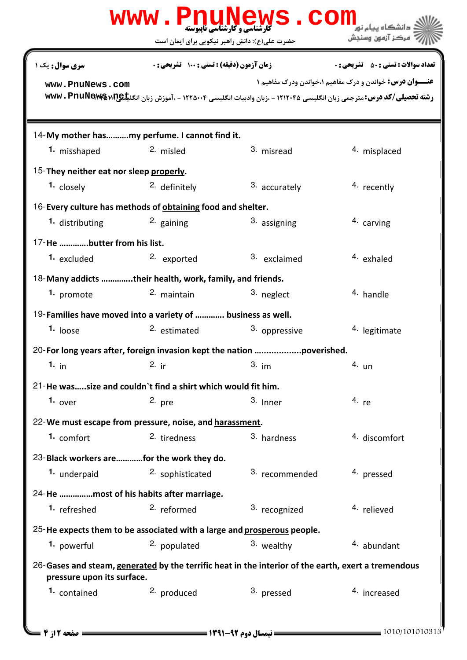| W W W                                                                                                                             | <b>کارشناسی و کارشناسی ناپیوسته</b><br>حضرت علی(ع): دانش راهبر نیکویی برای ایمان است                                 | <b>LUNEWS</b>  | .<br>- دانشگاه بیام نو <mark>ر</mark><br>' مرڪز آزمون وسنڊش     |  |  |
|-----------------------------------------------------------------------------------------------------------------------------------|----------------------------------------------------------------------------------------------------------------------|----------------|-----------------------------------------------------------------|--|--|
| <b>سری سوال :</b> یک ۱                                                                                                            | <b>زمان آزمون (دقیقه) : تستی : ۱۰۰ تشریحی: 0</b>                                                                     |                | <b>تعداد سوالات : تستي : 50 ٪ تشريحي : 0</b>                    |  |  |
| www.PnuNews.com                                                                                                                   | رشته تحصیلی/کد درس: مترجمی زبان انگلیسی ۱۲۱۲۰۴۵ - ،زبان وادبیات انگلیسی ۱۲۲۵۰۰۴ - ،آموزش زبان انگلیکهMWv . PnuNews M |                | <b>عنـــوان درس:</b> خواندن و درک مفاهیم ۱،خواندن ودرک مفاهیم ۱ |  |  |
| 14-My mother hasmy perfume. I cannot find it.                                                                                     |                                                                                                                      |                |                                                                 |  |  |
| 1. misshaped                                                                                                                      | 2. misled                                                                                                            | 3. misread     | 4. misplaced                                                    |  |  |
| 15-They neither eat nor sleep properly.                                                                                           |                                                                                                                      |                |                                                                 |  |  |
| 1. closely                                                                                                                        | <sup>2.</sup> definitely                                                                                             | 3. accurately  | 4. recently                                                     |  |  |
| 16-Every culture has methods of obtaining food and shelter.                                                                       |                                                                                                                      |                |                                                                 |  |  |
| <sup>1</sup> distributing                                                                                                         | $2.$ gaining                                                                                                         | 3. assigning   | 4. carving                                                      |  |  |
| 17-He butter from his list.                                                                                                       |                                                                                                                      |                |                                                                 |  |  |
| 1. excluded                                                                                                                       | 2. exported                                                                                                          | 3. exclaimed   | 4. exhaled                                                      |  |  |
| 18-Many addicts their health, work, family, and friends.                                                                          |                                                                                                                      |                |                                                                 |  |  |
| 1. promote                                                                                                                        | <sup>2.</sup> maintain                                                                                               | 3. neglect     | 4. handle                                                       |  |  |
| 19-Families have moved into a variety of  business as well.                                                                       |                                                                                                                      |                |                                                                 |  |  |
| $1.$ loose                                                                                                                        | 2. estimated                                                                                                         | 3. oppressive  | <sup>4</sup> legitimate                                         |  |  |
| 20-For long years after, foreign invasion kept the nation poverished.                                                             |                                                                                                                      |                |                                                                 |  |  |
| 1. in                                                                                                                             | 2. $ir$                                                                                                              | $3. \text{im}$ | $4.$ un                                                         |  |  |
| 21-He wassize and couldn't find a shirt which would fit him.                                                                      |                                                                                                                      |                |                                                                 |  |  |
| 1. $over$                                                                                                                         | $2.$ pre                                                                                                             | $3.$ Inner     | 4. $re$                                                         |  |  |
| 22-We must escape from pressure, noise, and harassment.                                                                           |                                                                                                                      |                |                                                                 |  |  |
| 1. comfort                                                                                                                        | 2. tiredness                                                                                                         | 3. hardness    | 4. discomfort                                                   |  |  |
| 23-Black workers arefor the work they do.                                                                                         |                                                                                                                      |                |                                                                 |  |  |
| 1. underpaid                                                                                                                      | 2. sophisticated                                                                                                     | 3. recommended | 4. pressed                                                      |  |  |
| 24-He most of his habits after marriage.                                                                                          |                                                                                                                      |                |                                                                 |  |  |
| 1. refreshed                                                                                                                      | <sup>2.</sup> reformed                                                                                               | 3. recognized  | <sup>4.</sup> relieved                                          |  |  |
| 25-He expects them to be associated with a large and prosperous people.                                                           |                                                                                                                      |                |                                                                 |  |  |
| 1. powerful                                                                                                                       | 2. populated                                                                                                         | 3. wealthy     | 4. abundant                                                     |  |  |
| 26-Gases and steam, generated by the terrific heat in the interior of the earth, exert a tremendous<br>pressure upon its surface. |                                                                                                                      |                |                                                                 |  |  |
| 1. contained                                                                                                                      | 2. produced                                                                                                          | 3. pressed     | 4. increased                                                    |  |  |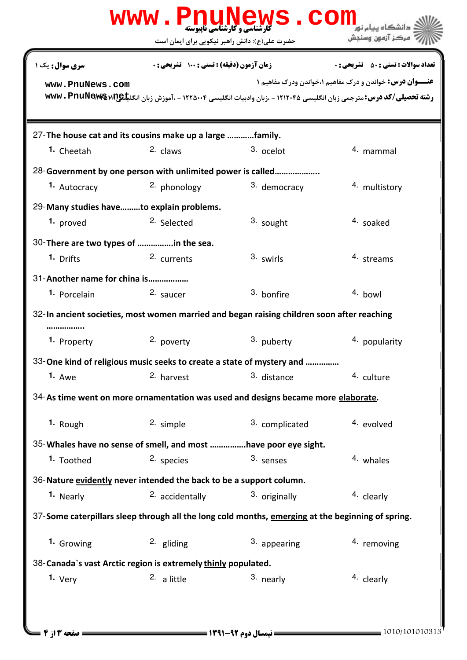|                                                                                                   |                                                                     | WWW.PnuNews.Com                                                                   |                                                                                                                                                                                       |  |  |  |
|---------------------------------------------------------------------------------------------------|---------------------------------------------------------------------|-----------------------------------------------------------------------------------|---------------------------------------------------------------------------------------------------------------------------------------------------------------------------------------|--|--|--|
|                                                                                                   | حضرت علی(ع): دانش راهبر نیکویی برای ایمان است                       |                                                                                   | مركز آزمون وسنجش                                                                                                                                                                      |  |  |  |
| سری سوال: یک ۱                                                                                    | <b>زمان آزمون (دقیقه) : تستی : 100 تشریحی : 0</b>                   |                                                                                   | <b>تعداد سوالات : تستي : 50 ٪ تشريحي : 0</b>                                                                                                                                          |  |  |  |
| www.PnuNews.com                                                                                   |                                                                     |                                                                                   | <b>عنـــوان درس:</b> خواندن و درک مفاهیم ۱،خواندن ودرک مفاهیم ۱<br>رشته تحصیلی/کد درس: مترجمی زبان انگلیسی ۱۲۱۲۰۴۵ - ،زبان وادبیات انگلیسی ۱۲۲۵۰۰۴ - ،آموزش زبان انگلیکهNww . PnuNews |  |  |  |
| 27-The house cat and its cousins make up a large family.                                          |                                                                     |                                                                                   |                                                                                                                                                                                       |  |  |  |
| 1. Cheetah                                                                                        | 2. claws                                                            | 3. ocelot                                                                         | 4. mammal                                                                                                                                                                             |  |  |  |
|                                                                                                   | 28-Government by one person with unlimited power is called          |                                                                                   |                                                                                                                                                                                       |  |  |  |
| 1. Autocracy                                                                                      | <sup>2</sup> phonology                                              | 3. democracy                                                                      | 4. multistory                                                                                                                                                                         |  |  |  |
| 29-Many studies haveto explain problems.                                                          |                                                                     |                                                                                   |                                                                                                                                                                                       |  |  |  |
| 1. proved                                                                                         | <sup>2.</sup> Selected                                              | 3. sought                                                                         | 4. soaked                                                                                                                                                                             |  |  |  |
| 30-There are two types of in the sea.                                                             |                                                                     |                                                                                   |                                                                                                                                                                                       |  |  |  |
| 1. Drifts                                                                                         | 2. currents                                                         | 3. swirls                                                                         | 4. streams                                                                                                                                                                            |  |  |  |
| 31-Another name for china is                                                                      |                                                                     |                                                                                   |                                                                                                                                                                                       |  |  |  |
| 1. Porcelain                                                                                      | 2. saucer                                                           | 3. bonfire                                                                        | 4. bowl                                                                                                                                                                               |  |  |  |
| 32-In ancient societies, most women married and began raising children soon after reaching        |                                                                     |                                                                                   |                                                                                                                                                                                       |  |  |  |
| 1. Property                                                                                       | 2. poverty                                                          | 3. puberty                                                                        | 4. popularity                                                                                                                                                                         |  |  |  |
|                                                                                                   |                                                                     | 33-One kind of religious music seeks to create a state of mystery and             |                                                                                                                                                                                       |  |  |  |
| 1. Awe                                                                                            | 2. harvest                                                          | 3. distance                                                                       | 4. culture                                                                                                                                                                            |  |  |  |
|                                                                                                   |                                                                     | 34-As time went on more ornamentation was used and designs became more elaborate. |                                                                                                                                                                                       |  |  |  |
| 1. Rough                                                                                          | 2. simple                                                           | 3. complicated                                                                    | 4. evolved                                                                                                                                                                            |  |  |  |
| 35-Whales have no sense of smell, and most have poor eye sight.                                   |                                                                     |                                                                                   |                                                                                                                                                                                       |  |  |  |
| 1. Toothed                                                                                        | 2. species                                                          | 3. senses                                                                         | 4. whales                                                                                                                                                                             |  |  |  |
|                                                                                                   | 36-Nature evidently never intended the back to be a support column. |                                                                                   |                                                                                                                                                                                       |  |  |  |
| 1. Nearly                                                                                         | 2. accidentally                                                     | 3. originally                                                                     | 4. clearly                                                                                                                                                                            |  |  |  |
| 37-Some caterpillars sleep through all the long cold months, emerging at the beginning of spring. |                                                                     |                                                                                   |                                                                                                                                                                                       |  |  |  |
| 1. Growing                                                                                        | $2.$ gliding                                                        | 3. appearing                                                                      | 4. removing                                                                                                                                                                           |  |  |  |
| 38-Canada's vast Arctic region is extremely thinly populated.                                     |                                                                     |                                                                                   |                                                                                                                                                                                       |  |  |  |
| 1. Very                                                                                           | 2. a little                                                         | 3. nearly                                                                         | 4. clearly                                                                                                                                                                            |  |  |  |